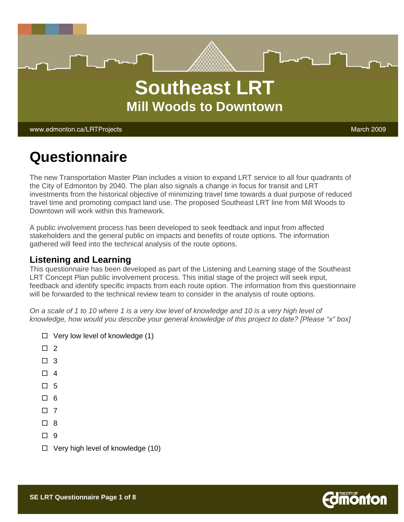

# **Questionnaire**

The new Transportation Master Plan includes a vision to expand LRT service to all four quadrants of the City of Edmonton by 2040. The plan also signals a change in focus for transit and LRT investments from the historical objective of minimizing travel time towards a dual purpose of reduced travel time and promoting compact land use. The proposed Southeast LRT line from Mill Woods to Downtown will work within this framework.

A public involvement process has been developed to seek feedback and input from affected stakeholders and the general public on impacts and benefits of route options. The information gathered will feed into the technical analysis of the route options.

#### **Listening and Learning**

This questionnaire has been developed as part of the Listening and Learning stage of the Southeast LRT Concept Plan public involvement process. This initial stage of the project will seek input, feedback and identify specific impacts from each route option. The information from this questionnaire will be forwarded to the technical review team to consider in the analysis of route options.

*On a scale of 1 to 10 where 1 is a very low level of knowledge and 10 is a very high level of knowledge, how would you describe your general knowledge of this project to date? [Please "x" box]* 

- $\Box$  Very low level of knowledge (1)
- $\Box$  2
- $\Box$  3
- $\Box$  4
- $\Box$  5
- $\Box$  6
- $\Box$  7
- $\Box$  8
- $\Box$  9
- $\Box$  Very high level of knowledge (10)

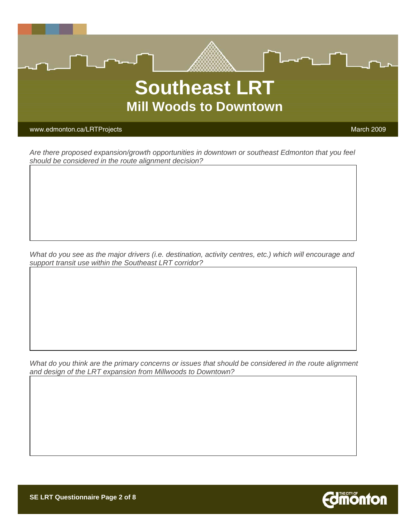

*Are there proposed expansion/growth opportunities in downtown or southeast Edmonton that you feel should be considered in the route alignment decision?* 

*What do you see as the major drivers (i.e. destination, activity centres, etc.) which will encourage and support transit use within the Southeast LRT corridor?* 

*What do you think are the primary concerns or issues that should be considered in the route alignment and design of the LRT expansion from Millwoods to Downtown?* 

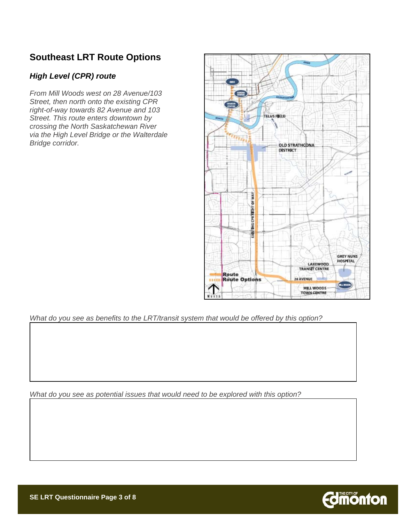## **Southeast LRT Route Options**

#### *High Level (CPR) route*

*From Mill Woods west on 28 Avenue/103 Street, then north onto the existing CPR right-of-way towards 82 Avenue and 103 Street. This route enters downtown by crossing the North Saskatchewan River via the High Level Bridge or the Walterdale Bridge corridor.* 



*What do you see as benefits to the LRT/transit system that would be offered by this option?* 

*What do you see as potential issues that would need to be explored with this option?* 

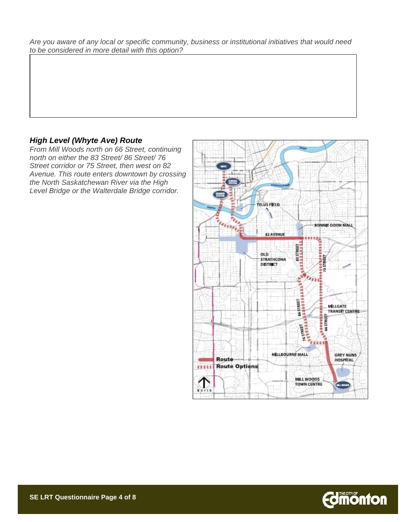*Are you aware of any local or specific community, business or institutional initiatives that would need to be considered in more detail with this option?* 

#### *High Level (Whyte Ave) Route*

*From Mill Woods north on 66 Street, continuing north on either the 83 Street/ 86 Street/ 76 Street corridor or 75 Street, then west on 82 Avenue. This route enters downtown by crossing the North Saskatchewan River via the High Level Bridge or the Walterdale Bridge corridor.* 



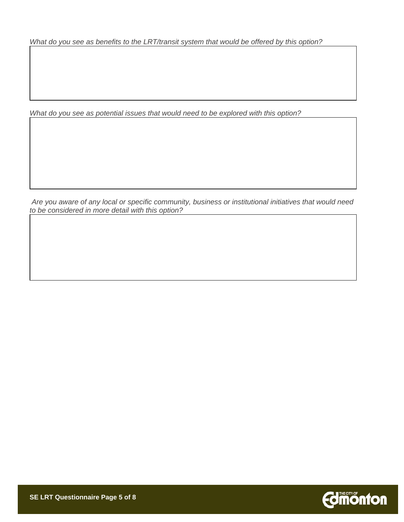*What do you see as benefits to the LRT/transit system that would be offered by this option?* 

*What do you see as potential issues that would need to be explored with this option?* 

 *Are you aware of any local or specific community, business or institutional initiatives that would need to be considered in more detail with this option?* 

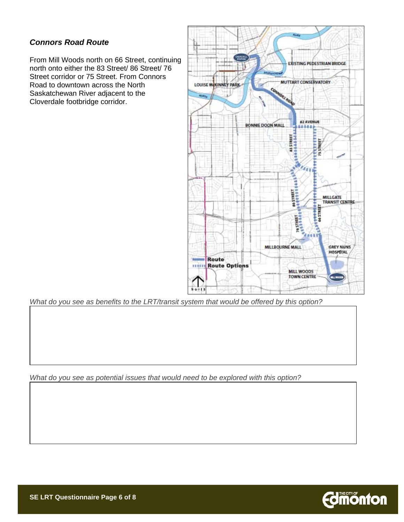#### *Connors Road Route*

From Mill Woods north on 66 Street, continuing north onto either the 83 Street/ 86 Street/ 76 Street corridor or 75 Street. From Connors Road to downtown across the North Saskatchewan River adjacent to the Cloverdale footbridge corridor.



*What do you see as benefits to the LRT/transit system that would be offered by this option?* 

*What do you see as potential issues that would need to be explored with this option?* 

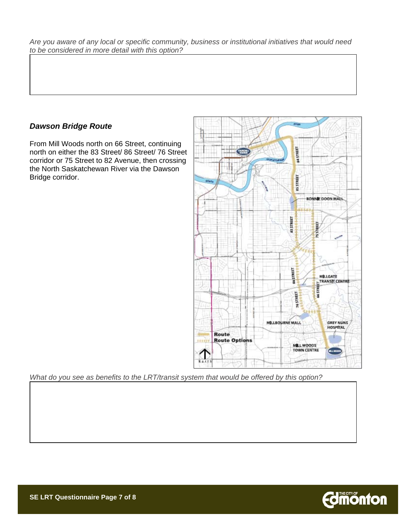*Are you aware of any local or specific community, business or institutional initiatives that would need to be considered in more detail with this option?*

#### *Dawson Bridge Route*

From Mill Woods north on 66 Street, continuing north on either the 83 Street/ 86 Street/ 76 Street corridor or 75 Street to 82 Avenue, then crossing the North Saskatchewan River via the Dawson Bridge corridor.



*What do you see as benefits to the LRT/transit system that would be offered by this option?*